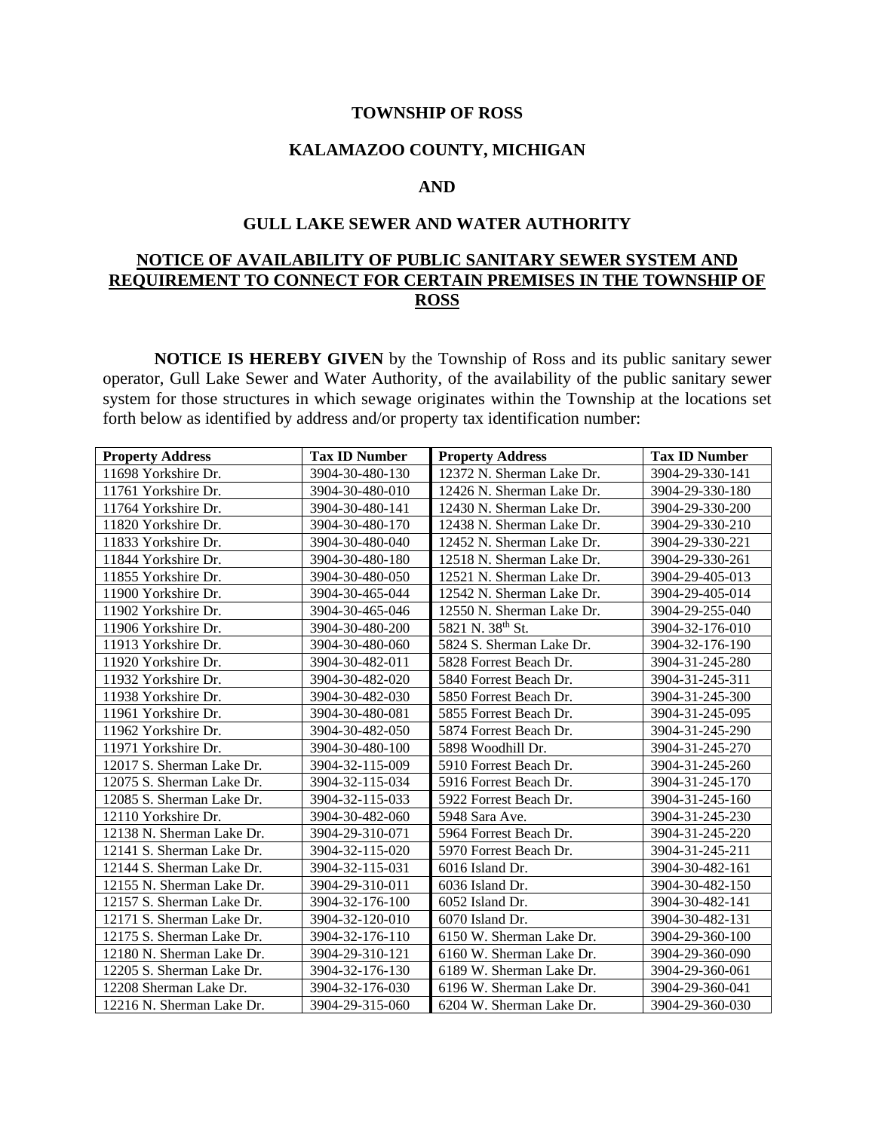### **TOWNSHIP OF ROSS**

### **KALAMAZOO COUNTY, MICHIGAN**

### **AND**

## **GULL LAKE SEWER AND WATER AUTHORITY**

# **NOTICE OF AVAILABILITY OF PUBLIC SANITARY SEWER SYSTEM AND REQUIREMENT TO CONNECT FOR CERTAIN PREMISES IN THE TOWNSHIP OF ROSS**

**NOTICE IS HEREBY GIVEN** by the Township of Ross and its public sanitary sewer operator, Gull Lake Sewer and Water Authority, of the availability of the public sanitary sewer system for those structures in which sewage originates within the Township at the locations set forth below as identified by address and/or property tax identification number:

| <b>Property Address</b>   | <b>Tax ID Number</b> | <b>Property Address</b>   | <b>Tax ID Number</b> |
|---------------------------|----------------------|---------------------------|----------------------|
| 11698 Yorkshire Dr.       | 3904-30-480-130      | 12372 N. Sherman Lake Dr. | 3904-29-330-141      |
| 11761 Yorkshire Dr.       | 3904-30-480-010      | 12426 N. Sherman Lake Dr. | 3904-29-330-180      |
| 11764 Yorkshire Dr.       | 3904-30-480-141      | 12430 N. Sherman Lake Dr. | 3904-29-330-200      |
| 11820 Yorkshire Dr.       | 3904-30-480-170      | 12438 N. Sherman Lake Dr. | 3904-29-330-210      |
| 11833 Yorkshire Dr.       | 3904-30-480-040      | 12452 N. Sherman Lake Dr. | 3904-29-330-221      |
| 11844 Yorkshire Dr.       | 3904-30-480-180      | 12518 N. Sherman Lake Dr. | 3904-29-330-261      |
| 11855 Yorkshire Dr.       | 3904-30-480-050      | 12521 N. Sherman Lake Dr. | 3904-29-405-013      |
| 11900 Yorkshire Dr.       | 3904-30-465-044      | 12542 N. Sherman Lake Dr. | 3904-29-405-014      |
| 11902 Yorkshire Dr.       | 3904-30-465-046      | 12550 N. Sherman Lake Dr. | 3904-29-255-040      |
| 11906 Yorkshire Dr.       | 3904-30-480-200      | 5821 N. 38th St.          | 3904-32-176-010      |
| 11913 Yorkshire Dr.       | 3904-30-480-060      | 5824 S. Sherman Lake Dr.  | 3904-32-176-190      |
| 11920 Yorkshire Dr.       | 3904-30-482-011      | 5828 Forrest Beach Dr.    | 3904-31-245-280      |
| 11932 Yorkshire Dr.       | 3904-30-482-020      | 5840 Forrest Beach Dr.    | 3904-31-245-311      |
| 11938 Yorkshire Dr.       | 3904-30-482-030      | 5850 Forrest Beach Dr.    | 3904-31-245-300      |
| 11961 Yorkshire Dr.       | 3904-30-480-081      | 5855 Forrest Beach Dr.    | 3904-31-245-095      |
| 11962 Yorkshire Dr.       | 3904-30-482-050      | 5874 Forrest Beach Dr.    | 3904-31-245-290      |
| 11971 Yorkshire Dr.       | 3904-30-480-100      | 5898 Woodhill Dr.         | 3904-31-245-270      |
| 12017 S. Sherman Lake Dr. | 3904-32-115-009      | 5910 Forrest Beach Dr.    | 3904-31-245-260      |
| 12075 S. Sherman Lake Dr. | 3904-32-115-034      | 5916 Forrest Beach Dr.    | 3904-31-245-170      |
| 12085 S. Sherman Lake Dr. | 3904-32-115-033      | 5922 Forrest Beach Dr.    | 3904-31-245-160      |
| 12110 Yorkshire Dr.       | 3904-30-482-060      | 5948 Sara Ave.            | 3904-31-245-230      |
| 12138 N. Sherman Lake Dr. | 3904-29-310-071      | 5964 Forrest Beach Dr.    | 3904-31-245-220      |
| 12141 S. Sherman Lake Dr. | 3904-32-115-020      | 5970 Forrest Beach Dr.    | 3904-31-245-211      |
| 12144 S. Sherman Lake Dr. | 3904-32-115-031      | 6016 Island Dr.           | 3904-30-482-161      |
| 12155 N. Sherman Lake Dr. | 3904-29-310-011      | 6036 Island Dr.           | 3904-30-482-150      |
| 12157 S. Sherman Lake Dr. | 3904-32-176-100      | 6052 Island Dr.           | 3904-30-482-141      |
| 12171 S. Sherman Lake Dr. | 3904-32-120-010      | 6070 Island Dr.           | 3904-30-482-131      |
| 12175 S. Sherman Lake Dr. | 3904-32-176-110      | 6150 W. Sherman Lake Dr.  | 3904-29-360-100      |
| 12180 N. Sherman Lake Dr. | 3904-29-310-121      | 6160 W. Sherman Lake Dr.  | 3904-29-360-090      |
| 12205 S. Sherman Lake Dr. | 3904-32-176-130      | 6189 W. Sherman Lake Dr.  | 3904-29-360-061      |
| 12208 Sherman Lake Dr.    | 3904-32-176-030      | 6196 W. Sherman Lake Dr.  | 3904-29-360-041      |
| 12216 N. Sherman Lake Dr. | 3904-29-315-060      | 6204 W. Sherman Lake Dr.  | 3904-29-360-030      |